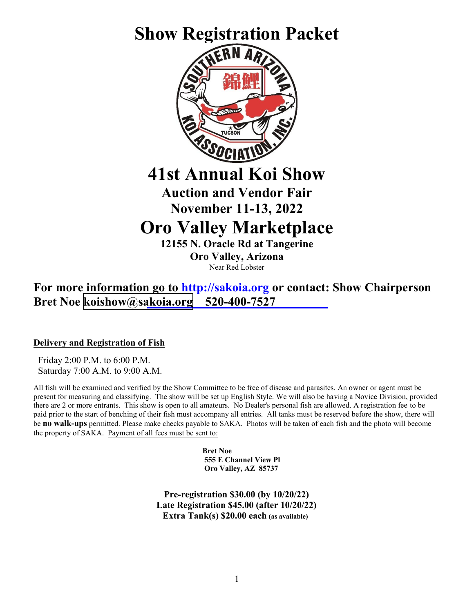

Near Red Lobster

**For more information go to [http://sakoia.org](http://sakoia.org/) or contact: Show Chairperson Bret Noe <koishow@sakoia.org> 520-400-7527**

**Delivery and Registration of Fish**

 Friday 2:00 P.M. to 6:00 P.M. Saturday 7:00 A.M. to 9:00 A.M.

All fish will be examined and verified by the Show Committee to be free of disease and parasites. An owner or agent must be present for measuring and classifying. The show will be set up English Style. We will also be having a Novice Division, provided there are 2 or more entrants. This show is open to all amateurs. No Dealer's personal fish are allowed. A registration fee to be paid prior to the start of benching of their fish must accompany all entries. All tanks must be reserved before the show, there will be **no walk-ups** permitted. Please make checks payable to SAKA. Photos will be taken of each fish and the photo will become the property of SAKA. Payment of all fees must be sent to:

> **Bret Noe 555 E Channel View Pl Oro Valley, AZ 85737**

**Pre-registration \$30.00 (by 10/20/22) Late Registration \$45.00 (after 10/20/22) Extra Tank(s) \$20.00 each (as available)**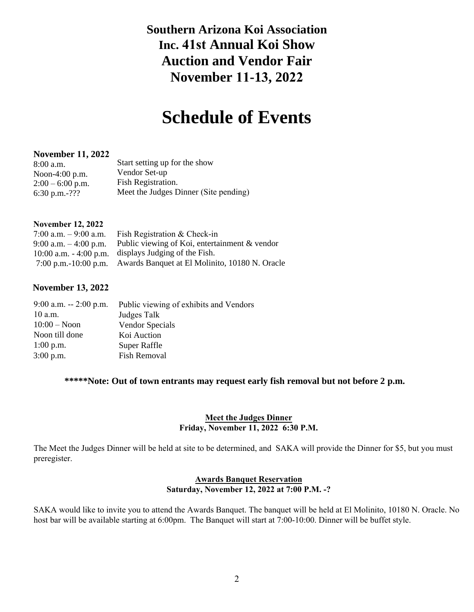# **Southern Arizona Koi Association Inc. 41st Annual Koi Show Auction and Vendor Fair November 11-13, 2022**

# **Schedule of Events**

#### **November 11, 2022**

| $8:00$ a.m.        | Start setting up for the show         |
|--------------------|---------------------------------------|
| Noon-4:00 $p.m.$   | Vendor Set-up                         |
| $2:00 - 6:00$ p.m. | Fish Registration.                    |
| 6:30 p.m.-???      | Meet the Judges Dinner (Site pending) |

#### **November 12, 2022**

| 7:00 a.m. $-9:00$ a.m. | Fish Registration & Check-in                                        |
|------------------------|---------------------------------------------------------------------|
| 9:00 a.m. $-4:00$ p.m. | Public viewing of Koi, entertainment & vendor                       |
|                        | $10:00$ a.m. $-4:00$ p.m. displays Judging of the Fish.             |
|                        | 7:00 p.m.-10:00 p.m. Awards Banquet at El Molinito, 10180 N. Oracle |

#### **November 13, 2022**

| $9:00$ a.m. $-2:00$ p.m. | Public viewing of exhibits and Vendors |
|--------------------------|----------------------------------------|
| $10$ a.m.                | Judges Talk                            |
| $10:00 - N$ oon          | <b>Vendor Specials</b>                 |
| Noon till done           | Koi Auction                            |
| $1:00$ p.m.              | <b>Super Raffle</b>                    |
| $3:00$ p.m.              | <b>Fish Removal</b>                    |

#### **\*\*\*\*\*Note: Out of town entrants may request early fish removal but not before 2 p.m.**

#### **Meet the Judges Dinner Friday, November 11, 2022 6:30 P.M.**

The Meet the Judges Dinner will be held at site to be determined, and SAKA will provide the Dinner for \$5, but you must preregister.

#### **Awards Banquet Reservation Saturday, November 12, 2022 at 7:00 P.M. -?**

SAKA would like to invite you to attend the Awards Banquet. The banquet will be held at El Molinito, 10180 N. Oracle. No host bar will be available starting at 6:00pm. The Banquet will start at 7:00-10:00. Dinner will be buffet style.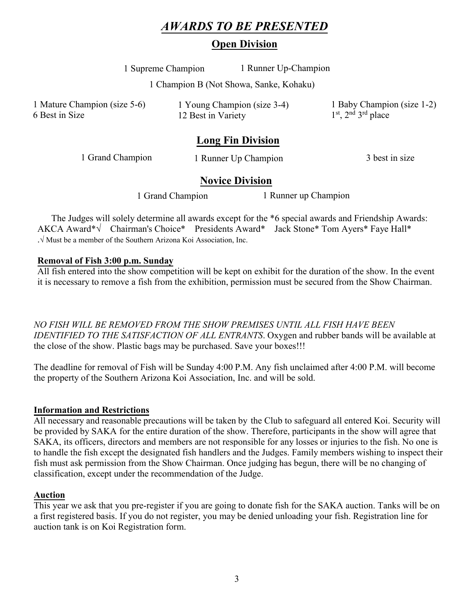## *AWARDS TO BE PRESENTED*

## **Open Division**

1 Supreme Champion 1 Runner Up-Champion

1 Champion B (Not Showa, Sanke, Kohaku)

1 Mature Champion (size 5-6) 6 Best in Size

1 Young Champion (size 3-4) 12 Best in Variety

1 Baby Champion (size 1-2) 1<sup>st</sup>, 2<sup>nd</sup> 3<sup>rd</sup> place

## **Long Fin Division**

1 Grand Champion 1 Runner Up Champion 3 best in size

### **Novice Division**

1 Grand Champion 1 Runner up Champion

The Judges will solely determine all awards except for the \*6 special awards and Friendship Awards: AKCA Award\***√** Chairman's Choice\* Presidents Award\* Jack Stone\* Tom Ayers\* Faye Hall\* .**√** Must be a member of the Southern Arizona Koi Association, Inc.

#### **Removal of Fish 3:00 p.m. Sunday**

All fish entered into the show competition will be kept on exhibit for the duration of the show. In the event it is necessary to remove a fish from the exhibition, permission must be secured from the Show Chairman.

*NO FISH WILL BE REMOVED FROM THE SHOW PREMISES UNTIL ALL FISH HAVE BEEN IDENTIFIED TO THE SATISFACTION OF ALL ENTRANTS*. Oxygen and rubber bands will be available at the close of the show. Plastic bags may be purchased. Save your boxes!!!

The deadline for removal of Fish will be Sunday 4:00 P.M. Any fish unclaimed after 4:00 P.M. will become the property of the Southern Arizona Koi Association, Inc. and will be sold.

#### **Information and Restrictions**

All necessary and reasonable precautions will be taken by the Club to safeguard all entered Koi. Security will be provided by SAKA for the entire duration of the show. Therefore, participants in the show will agree that SAKA, its officers, directors and members are not responsible for any losses or injuries to the fish. No one is to handle the fish except the designated fish handlers and the Judges. Family members wishing to inspect their fish must ask permission from the Show Chairman. Once judging has begun, there will be no changing of classification, except under the recommendation of the Judge.

#### **Auction**

This year we ask that you pre-register if you are going to donate fish for the SAKA auction. Tanks will be on a first registered basis. If you do not register, you may be denied unloading your fish. Registration line for auction tank is on Koi Registration form.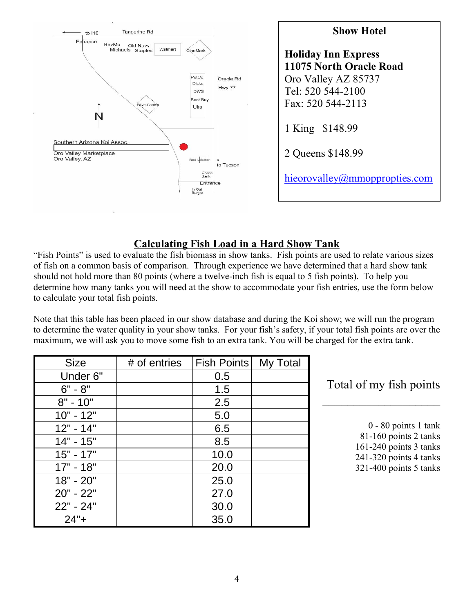

## **Calculating Fish Load in a Hard Show Tank**

"Fish Points" is used to evaluate the fish biomass in show tanks. Fish points are used to relate various sizes of fish on a common basis of comparison. Through experience we have determined that a hard show tank should not hold more than 80 points (where a twelve-inch fish is equal to 5 fish points). To help you determine how many tanks you will need at the show to accommodate your fish entries, use the form below to calculate your total fish points.

Note that this table has been placed in our show database and during the Koi show; we will run the program to determine the water quality in your show tanks. For your fish's safety, if your total fish points are over the maximum, we will ask you to move some fish to an extra tank. You will be charged for the extra tank.

| <b>Size</b> | # of entries | Fish Points   My Total |  |
|-------------|--------------|------------------------|--|
| Under 6"    |              | 0.5                    |  |
| $6" - 8"$   |              | 1.5                    |  |
| $8" - 10"$  |              | 2.5                    |  |
| $10" - 12"$ |              | 5.0                    |  |
| $12" - 14"$ |              | 6.5                    |  |
| $14" - 15"$ |              | 8.5                    |  |
| $15" - 17"$ |              | 10.0                   |  |
| $17" - 18"$ |              | 20.0                   |  |
| $18" - 20"$ |              | 25.0                   |  |
| $20" - 22"$ |              | 27.0                   |  |
| $22" - 24"$ |              | 30.0                   |  |
| $24"+$      |              | 35.0                   |  |

## Total of my fish points

0 - 80 points 1 tank 81-160 points 2 tanks 161-240 points 3 tanks 241-320 points 4 tanks 321-400 points 5 tanks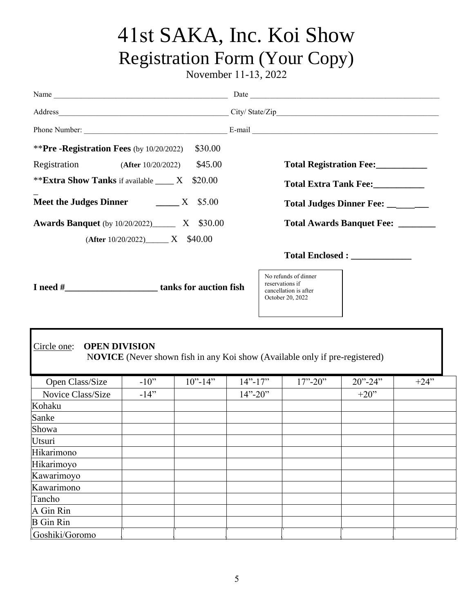# 41st SAKA, Inc. Koi Show Registration Form (Your Copy)

November 11-13, 2022

| <b>**Pre -Registration Fees</b> (by $10/20/2022$ )      |                                                                             | \$30.00    |             |  |                                                                                      |                                   |        |
|---------------------------------------------------------|-----------------------------------------------------------------------------|------------|-------------|--|--------------------------------------------------------------------------------------|-----------------------------------|--------|
| Registration                                            | (After 10/20/2022)                                                          | \$45.00    |             |  |                                                                                      | Total Registration Fee:           |        |
| ** <b>Extra Show Tanks</b> if available _____ X         |                                                                             | \$20.00    |             |  |                                                                                      |                                   |        |
|                                                         |                                                                             |            |             |  |                                                                                      | Total Extra Tank Fee:             |        |
|                                                         | Meet the Judges Dinner ______ X \$5.00<br>Total Judges Dinner Fee: ________ |            |             |  |                                                                                      |                                   |        |
| <b>Awards Banquet</b> (by 10/20/2022)________ X \$30.00 | $(After 10/20/2022)$ X \$40.00                                              |            |             |  |                                                                                      | Total Awards Banquet Fee: _______ |        |
|                                                         |                                                                             |            |             |  |                                                                                      |                                   |        |
| I need #________________________tanks for auction fish  |                                                                             |            |             |  | No refunds of dinner<br>reservations if<br>cancellation is after<br>October 20, 2022 |                                   |        |
| <b>OPEN DIVISION</b><br>Circle one:                     |                                                                             |            |             |  | NOVICE (Never shown fish in any Koi show (Available only if pre-registered)          |                                   |        |
| Open Class/Size                                         | $-10$ "                                                                     | $10"$ -14" | $14"$ -17"  |  | $17" - 20"$                                                                          | $20" - 24"$                       | $+24"$ |
| Novice Class/Size                                       | $-14"$                                                                      |            | $14" - 20"$ |  |                                                                                      | $+20$ "                           |        |
| Kohaku                                                  |                                                                             |            |             |  |                                                                                      |                                   |        |
| Sanke                                                   |                                                                             |            |             |  |                                                                                      |                                   |        |
| Showa                                                   |                                                                             |            |             |  |                                                                                      |                                   |        |
| Utsuri                                                  |                                                                             |            |             |  |                                                                                      |                                   |        |
| Hikarimono                                              |                                                                             |            |             |  |                                                                                      |                                   |        |
| Hikarimoyo                                              |                                                                             |            |             |  |                                                                                      |                                   |        |
| Kawarimoyo                                              |                                                                             |            |             |  |                                                                                      |                                   |        |
| Kawarimono                                              |                                                                             |            |             |  |                                                                                      |                                   |        |
| Tancho                                                  |                                                                             |            |             |  |                                                                                      |                                   |        |
| A Gin Rin                                               |                                                                             |            |             |  |                                                                                      |                                   |        |
| <b>B</b> Gin Rin                                        |                                                                             |            |             |  |                                                                                      |                                   |        |
| Goshiki/Goromo                                          |                                                                             |            |             |  |                                                                                      |                                   |        |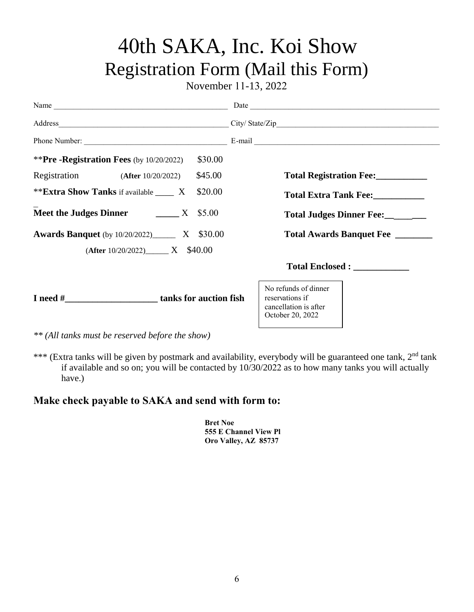# 40th SAKA, Inc. Koi Show Registration Form (Mail this Form)

November 11-13, 2022

| Name                                                       | Date                                                                                 |  |  |
|------------------------------------------------------------|--------------------------------------------------------------------------------------|--|--|
|                                                            |                                                                                      |  |  |
|                                                            |                                                                                      |  |  |
| **Pre -Registration Fees (by $10/20/2022$ )<br>\$30.00     |                                                                                      |  |  |
| Registration (After 10/20/2022)<br>\$45.00                 | Total Registration Fee:                                                              |  |  |
| ** <b>Extra Show Tanks</b> if available _____ X<br>\$20.00 | Total Extra Tank Fee:                                                                |  |  |
| Meet the Judges Dinner $\frac{X}{1000}$ X \$5.00           | Total Judges Dinner Fee: ________                                                    |  |  |
| <b>Awards Banquet</b> (by 10/20/2022)_________ X \$30.00   | Total Awards Banquet Fee                                                             |  |  |
| $(After 10/20/2022)$ X \$40.00                             |                                                                                      |  |  |
|                                                            |                                                                                      |  |  |
| I need # tanks for auction fish                            | No refunds of dinner<br>reservations if<br>cancellation is after<br>October 20, 2022 |  |  |

*\*\* (All tanks must be reserved before the show)*

\*\*\* (Extra tanks will be given by postmark and availability, everybody will be guaranteed one tank, 2<sup>nd</sup> tank if available and so on; you will be contacted by 10/30/2022 as to how many tanks you will actually have.)

## **Make check payable to SAKA and send with form to:**

**Bret Noe 555 E Channel View Pl Oro Valley, AZ 85737**